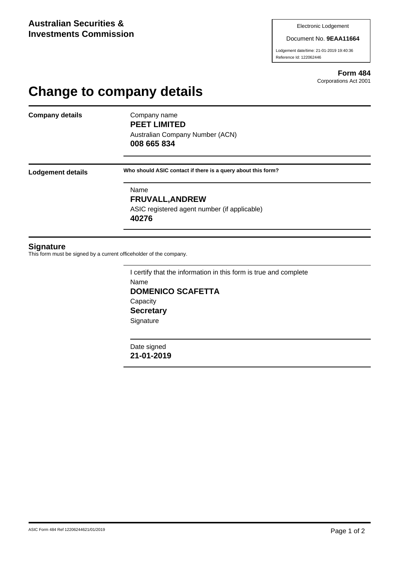#### Document No. **9EAA11664**

Lodgement date/time: 21-01-2019 19:40:36 Reference Id: 122062446

> **Form 484** Corporations Act 2001

# **Change to company details**

**Company details** Company name

**PEET LIMITED** Australian Company Number (ACN)

**008 665 834**

**Lodgement details Who should ASIC contact if there is a query about this form?**

Name **FRUVALL,ANDREW** ASIC registered agent number (if applicable) **40276**

### **Signature**

This form must be signed by a current officeholder of the company.

I certify that the information in this form is true and complete Name **DOMENICO SCAFETTA Capacity Secretary Signature** 

Date signed **21-01-2019**